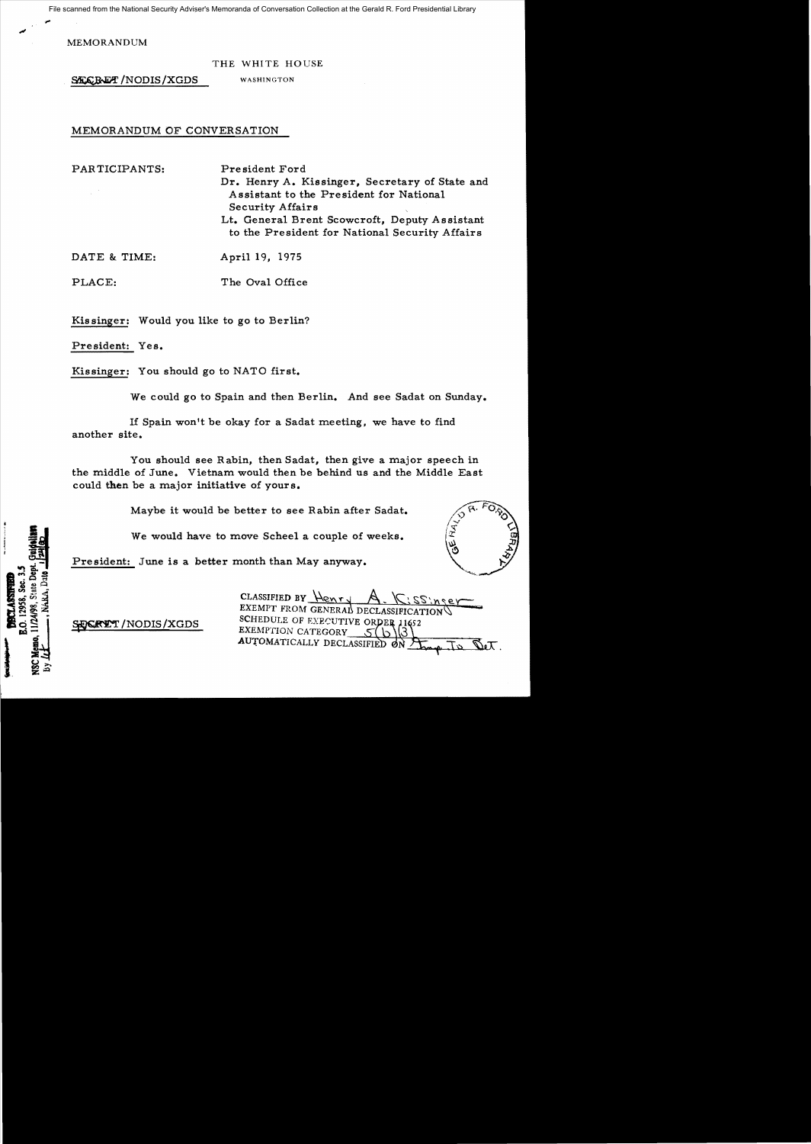File scanned from the National Security Adviser's Memoranda of Conversation Collection at the Gerald R. Ford Presidential Library

MEMORANDUM

THE WHITE HOUSE

SECRET NODIS/XGDS WASHINGTON

## MEMORANDUM OF CONVERSATION

PARTICIPANTS: President Ford Dr. Henry A. Kissinger, Secretary of State and Assistant to the President for National Security Affairs Lt. General Brent Scowcroft, Deputy Assistant to the President for National Security Affairs

DATE & TIME: April 19, 1975

PLACE: The Oval Office

Kissinger: Would you like to go to Berlin?

President: Yes.

Kissinger: You should go to NATO first.

We could go to Spain and then Berlin. And see Sadat on Sunday.

If Spain won't be okay for a Sadat meeting, we have to find another site.

You should see Rabin, then Sadat, then give a major speech in the middle of June. Vietnam would then be behind us and the Middle East could then be a major initiative of yours.

Maybe it would be better to see Rabin after Sadat.

We would have to move Scheel a couple of weeks.

President: June is a better month than May anyway.

CLASSIFIED BY EXEMPT FROM GENERAL DECLASSIFI **SEXERET/NODIS/XGDS** SCHEDULE OF EXECUTIVE ORDER AUTOMATICALLY DECLASSIFIED

4/98.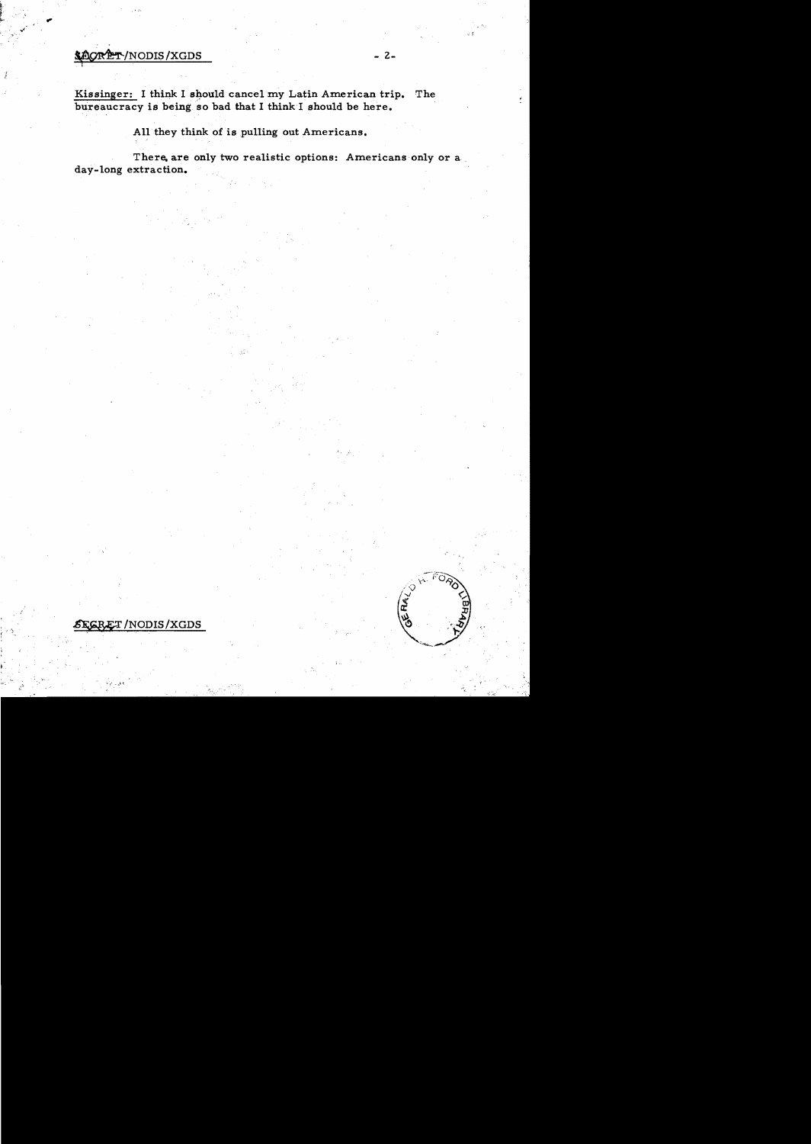## \*LORET/NODIS/XGDS - 2-

Kissinger: I think I should cancel my Latin American trip. The bureaucracy is being so bad that I think I should be here.

;:r

 $\widetilde{\mathcal{E}}$ 

All they think of is pulling out Americans.

There are only two realistic options: Americans only or a day-long extraction.

## ~/NODIS/XGDS